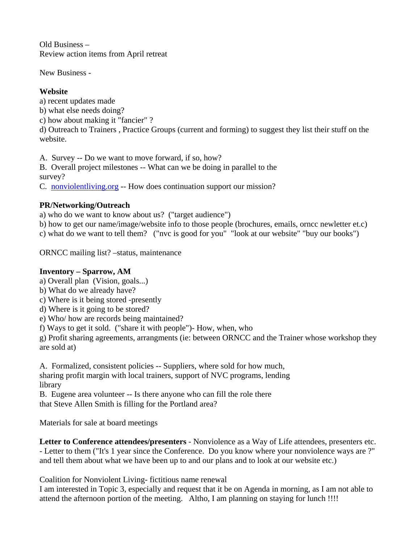Old Business – Review action items from April retreat

New Business -

## **Website**

a) recent updates made b) what else needs doing? c) how about making it "fancier" ? d) Outreach to Trainers , Practice Groups (current and forming) to suggest they list their stuff on the website.

A. Survey -- Do we want to move forward, if so, how? B. Overall project milestones -- What can we be doing in parallel to the

survey?

C. nonviolentliving.org -- How does continuation support our mission?

## **PR/Networking/Outreach**

a) who do we want to know about us? ("target audience")

b) how to get our name/image/website info to those people (brochures, emails, orncc newletter et.c) c) what do we want to tell them? ("nvc is good for you" "look at our website" "buy our books")

ORNCC mailing list? –status, maintenance

## **Inventory – Sparrow, AM**

a) Overall plan (Vision, goals...)

- b) What do we already have?
- c) Where is it being stored -presently
- d) Where is it going to be stored?
- e) Who/ how are records being maintained?

f) Ways to get it sold. ("share it with people")- How, when, who

g) Profit sharing agreements, arrangments (ie: between ORNCC and the Trainer whose workshop they are sold at)

A. Formalized, consistent policies -- Suppliers, where sold for how much, sharing profit margin with local trainers, support of NVC programs, lending library

B. Eugene area volunteer -- Is there anyone who can fill the role there that Steve Allen Smith is filling for the Portland area?

Materials for sale at board meetings

**Letter to Conference attendees/presenters** - Nonviolence as a Way of Life attendees, presenters etc. - Letter to them ("It's 1 year since the Conference. Do you know where your nonviolence ways are ?" and tell them about what we have been up to and our plans and to look at our website etc.)

Coalition for Nonviolent Living- fictitious name renewal

I am interested in Topic 3, especially and request that it be on Agenda in morning, as I am not able to attend the afternoon portion of the meeting. Altho, I am planning on staying for lunch !!!!